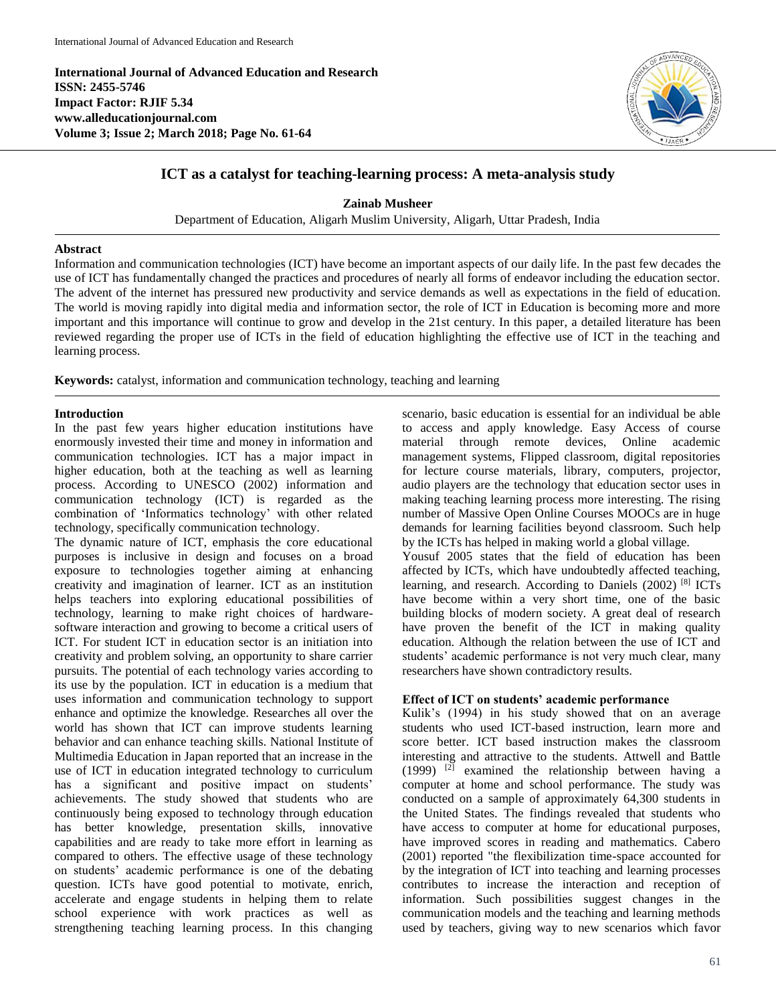**International Journal of Advanced Education and Research ISSN: 2455-5746 Impact Factor: RJIF 5.34 www.alleducationjournal.com Volume 3; Issue 2; March 2018; Page No. 61-64**



# **ICT as a catalyst for teaching-learning process: A meta-analysis study**

**Zainab Musheer**

Department of Education, Aligarh Muslim University, Aligarh, Uttar Pradesh, India

#### **Abstract**

Information and communication technologies (ICT) have become an important aspects of our daily life. In the past few decades the use of ICT has fundamentally changed the practices and procedures of nearly all forms of endeavor including the education sector. The advent of the internet has pressured new productivity and service demands as well as expectations in the field of education. The world is moving rapidly into digital media and information sector, the role of ICT in Education is becoming more and more important and this importance will continue to grow and develop in the 21st century. In this paper, a detailed literature has been reviewed regarding the proper use of ICTs in the field of education highlighting the effective use of ICT in the teaching and learning process.

**Keywords:** catalyst, information and communication technology, teaching and learning

## **Introduction**

In the past few years higher education institutions have enormously invested their time and money in information and communication technologies. ICT has a major impact in higher education, both at the teaching as well as learning process. According to UNESCO (2002) information and communication technology (ICT) is regarded as the combination of 'Informatics technology' with other related technology, specifically communication technology.

The dynamic nature of ICT, emphasis the core educational purposes is inclusive in design and focuses on a broad exposure to technologies together aiming at enhancing creativity and imagination of learner. ICT as an institution helps teachers into exploring educational possibilities of technology, learning to make right choices of hardwaresoftware interaction and growing to become a critical users of ICT. For student ICT in education sector is an initiation into creativity and problem solving, an opportunity to share carrier pursuits. The potential of each technology varies according to its use by the population. ICT in education is a medium that uses information and communication technology to support enhance and optimize the knowledge. Researches all over the world has shown that ICT can improve students learning behavior and can enhance teaching skills. National Institute of Multimedia Education in Japan reported that an increase in the use of ICT in education integrated technology to curriculum has a significant and positive impact on students' achievements. The study showed that students who are continuously being exposed to technology through education has better knowledge, presentation skills, innovative capabilities and are ready to take more effort in learning as compared to others. The effective usage of these technology on students' academic performance is one of the debating question. ICTs have good potential to motivate, enrich, accelerate and engage students in helping them to relate school experience with work practices as well as strengthening teaching learning process. In this changing

scenario, basic education is essential for an individual be able to access and apply knowledge. Easy Access of course material through remote devices, Online academic management systems, Flipped classroom, digital repositories for lecture course materials, library, computers, projector, audio players are the technology that education sector uses in making teaching learning process more interesting. The rising number of Massive Open Online Courses MOOCs are in huge demands for learning facilities beyond classroom. Such help by the ICTs has helped in making world a global village.

Yousuf 2005 states that the field of education has been affected by ICTs, which have undoubtedly affected teaching, learning, and research. According to Daniels (2002) [8] ICTs have become within a very short time, one of the basic building blocks of modern society. A great deal of research have proven the benefit of the ICT in making quality education. Although the relation between the use of ICT and students' academic performance is not very much clear, many researchers have shown contradictory results.

#### **Effect of ICT on students' academic performance**

Kulik's (1994) in his study showed that on an average students who used ICT-based instruction, learn more and score better. ICT based instruction makes the classroom interesting and attractive to the students. Attwell and Battle  $(1999)$ <sup>[2]</sup> examined the relationship between having a computer at home and school performance. The study was conducted on a sample of approximately 64,300 students in the United States. The findings revealed that students who have access to computer at home for educational purposes, have improved scores in reading and mathematics. Cabero (2001) reported "the flexibilization time-space accounted for by the integration of ICT into teaching and learning processes contributes to increase the interaction and reception of information. Such possibilities suggest changes in the communication models and the teaching and learning methods used by teachers, giving way to new scenarios which favor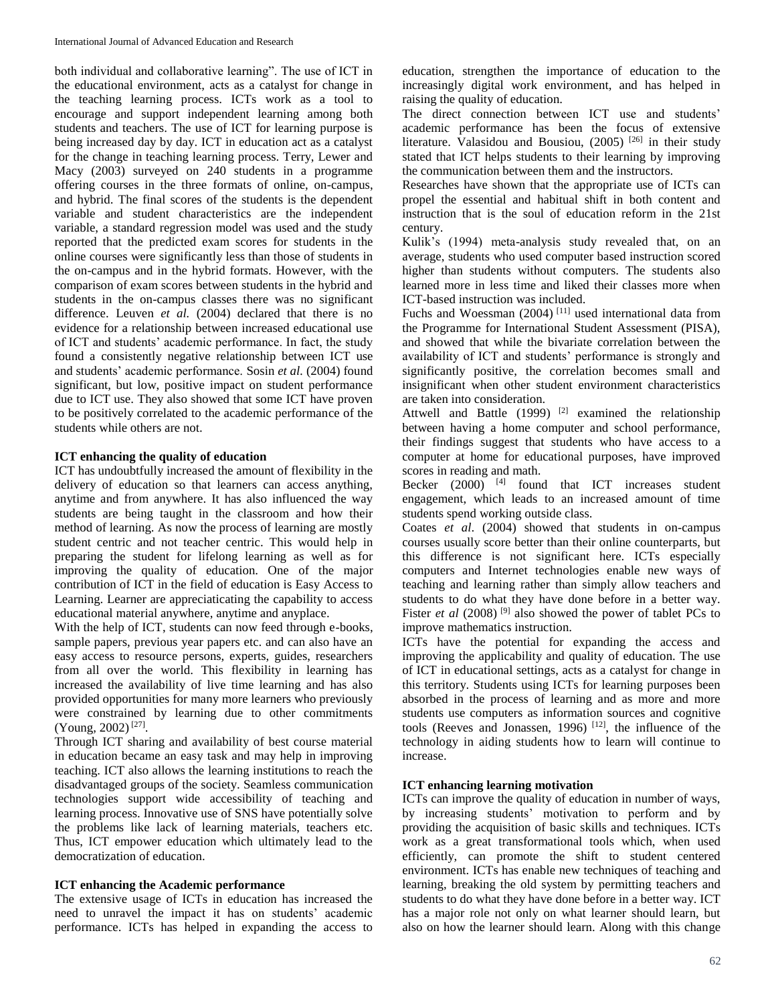both individual and collaborative learning". The use of ICT in the educational environment, acts as a catalyst for change in the teaching learning process. ICTs work as a tool to encourage and support independent learning among both students and teachers. The use of ICT for learning purpose is being increased day by day. ICT in education act as a catalyst for the change in teaching learning process. Terry, Lewer and Macy (2003) surveyed on 240 students in a programme offering courses in the three formats of online, on-campus, and hybrid. The final scores of the students is the dependent variable and student characteristics are the independent variable, a standard regression model was used and the study reported that the predicted exam scores for students in the online courses were significantly less than those of students in the on-campus and in the hybrid formats. However, with the comparison of exam scores between students in the hybrid and students in the on-campus classes there was no significant difference. Leuven *et al.* (2004) declared that there is no evidence for a relationship between increased educational use of ICT and students' academic performance. In fact, the study found a consistently negative relationship between ICT use and students' academic performance. Sosin *et al.* (2004) found significant, but low, positive impact on student performance due to ICT use. They also showed that some ICT have proven to be positively correlated to the academic performance of the students while others are not.

## **ICT enhancing the quality of education**

ICT has undoubtfully increased the amount of flexibility in the delivery of education so that learners can access anything, anytime and from anywhere. It has also influenced the way students are being taught in the classroom and how their method of learning. As now the process of learning are mostly student centric and not teacher centric. This would help in preparing the student for lifelong learning as well as for improving the quality of education. One of the major contribution of ICT in the field of education is Easy Access to Learning. Learner are appreciaticating the capability to access educational material anywhere, anytime and anyplace.

With the help of ICT, students can now feed through e-books, sample papers, previous year papers etc. and can also have an easy access to resource persons, experts, guides, researchers from all over the world. This flexibility in learning has increased the availability of live time learning and has also provided opportunities for many more learners who previously were constrained by learning due to other commitments (Young, 2002) [27] .

Through ICT sharing and availability of best course material in education became an easy task and may help in improving teaching. ICT also allows the learning institutions to reach the disadvantaged groups of the society. Seamless communication technologies support wide accessibility of teaching and learning process. Innovative use of SNS have potentially solve the problems like lack of learning materials, teachers etc. Thus, ICT empower education which ultimately lead to the democratization of education.

# **ICT enhancing the Academic performance**

The extensive usage of ICTs in education has increased the need to unravel the impact it has on students' academic performance. ICTs has helped in expanding the access to

education, strengthen the importance of education to the increasingly digital work environment, and has helped in raising the quality of education.

The direct connection between ICT use and students' academic performance has been the focus of extensive literature. Valasidou and Bousiou, (2005)<sup>[26]</sup> in their study stated that ICT helps students to their learning by improving the communication between them and the instructors.

Researches have shown that the appropriate use of ICTs can propel the essential and habitual shift in both content and instruction that is the soul of education reform in the 21st century.

Kulik's (1994) meta-analysis study revealed that, on an average, students who used computer based instruction scored higher than students without computers. The students also learned more in less time and liked their classes more when ICT-based instruction was included.

Fuchs and Woessman  $(2004)$ <sup>[11]</sup> used international data from the Programme for International Student Assessment (PISA), and showed that while the bivariate correlation between the availability of ICT and students' performance is strongly and significantly positive, the correlation becomes small and insignificant when other student environment characteristics are taken into consideration.

Attwell and Battle  $(1999)$ <sup>[2]</sup> examined the relationship between having a home computer and school performance, their findings suggest that students who have access to a computer at home for educational purposes, have improved scores in reading and math.

Becker  $(2000)$  <sup>[4]</sup> found that ICT increases student engagement, which leads to an increased amount of time students spend working outside class.

Coates *et al*. (2004) showed that students in on-campus courses usually score better than their online counterparts, but this difference is not significant here. ICTs especially computers and Internet technologies enable new ways of teaching and learning rather than simply allow teachers and students to do what they have done before in a better way. Fister *et al* (2008)<sup>[9]</sup> also showed the power of tablet PCs to improve mathematics instruction.

ICTs have the potential for expanding the access and improving the applicability and quality of education. The use of ICT in educational settings, acts as a catalyst for change in this territory. Students using ICTs for learning purposes been absorbed in the process of learning and as more and more students use computers as information sources and cognitive tools (Reeves and Jonassen, 1996)<sup>[12]</sup>, the influence of the technology in aiding students how to learn will continue to increase.

# **ICT enhancing learning motivation**

ICTs can improve the quality of education in number of ways, by increasing students' motivation to perform and by providing the acquisition of basic skills and techniques. ICTs work as a great transformational tools which, when used efficiently, can promote the shift to student centered environment. ICTs has enable new techniques of teaching and learning, breaking the old system by permitting teachers and students to do what they have done before in a better way. ICT has a major role not only on what learner should learn, but also on how the learner should learn. Along with this change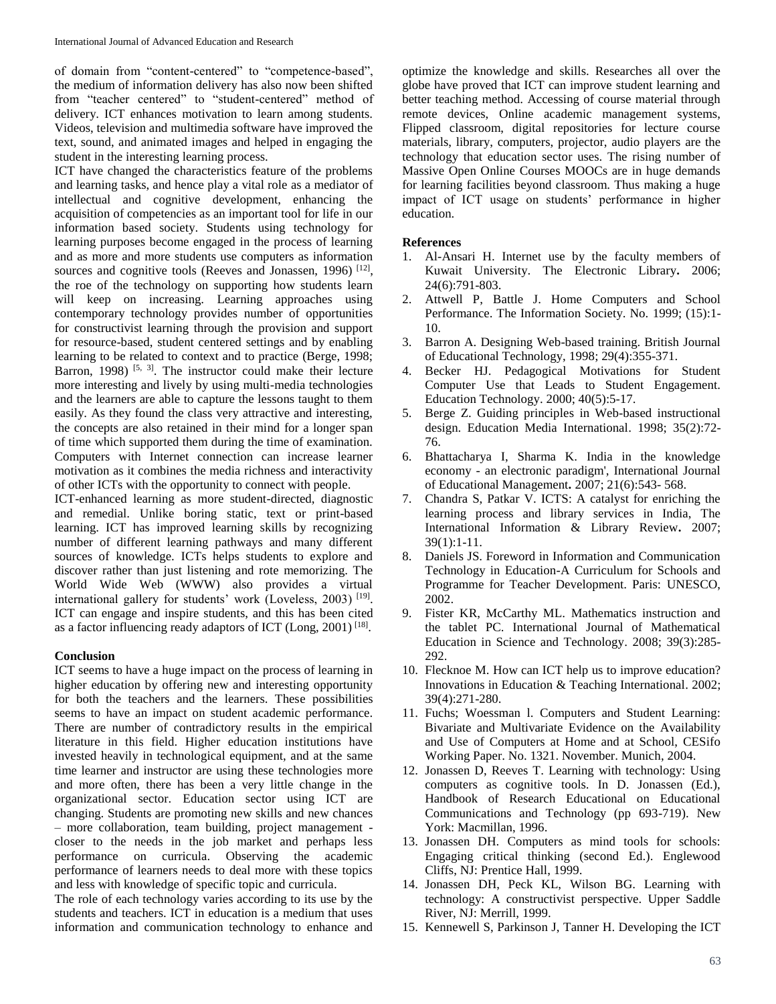of domain from "content-centered" to "competence-based", the medium of information delivery has also now been shifted from "teacher centered" to "student-centered" method of delivery. ICT enhances motivation to learn among students. Videos, television and multimedia software have improved the text, sound, and animated images and helped in engaging the student in the interesting learning process.

ICT have changed the characteristics feature of the problems and learning tasks, and hence play a vital role as a mediator of intellectual and cognitive development, enhancing the acquisition of competencies as an important tool for life in our information based society. Students using technology for learning purposes become engaged in the process of learning and as more and more students use computers as information sources and cognitive tools (Reeves and Jonassen, 1996)<sup>[12]</sup>, the roe of the technology on supporting how students learn will keep on increasing. Learning approaches using contemporary technology provides number of opportunities for constructivist learning through the provision and support for resource-based, student centered settings and by enabling learning to be related to context and to practice (Berge, 1998; Barron, 1998)<sup>[5, 3]</sup>. The instructor could make their lecture more interesting and lively by using multi-media technologies and the learners are able to capture the lessons taught to them easily. As they found the class very attractive and interesting, the concepts are also retained in their mind for a longer span of time which supported them during the time of examination. Computers with Internet connection can increase learner motivation as it combines the media richness and interactivity of other ICTs with the opportunity to connect with people.

ICT-enhanced learning as more student-directed, diagnostic and remedial. Unlike boring static, text or print-based learning. ICT has improved learning skills by recognizing number of different learning pathways and many different sources of knowledge. ICTs helps students to explore and discover rather than just listening and rote memorizing. The World Wide Web (WWW) also provides a virtual international gallery for students' work (Loveless, 2003)<sup>[19]</sup>. ICT can engage and inspire students, and this has been cited as a factor influencing ready adaptors of ICT (Long, 2001)<sup>[18]</sup>.

#### **Conclusion**

ICT seems to have a huge impact on the process of learning in higher education by offering new and interesting opportunity for both the teachers and the learners. These possibilities seems to have an impact on student academic performance. There are number of contradictory results in the empirical literature in this field. Higher education institutions have invested heavily in technological equipment, and at the same time learner and instructor are using these technologies more and more often, there has been a very little change in the organizational sector. Education sector using ICT are changing. Students are promoting new skills and new chances – more collaboration, team building, project management closer to the needs in the job market and perhaps less performance on curricula. Observing the academic performance of learners needs to deal more with these topics and less with knowledge of specific topic and curricula.

The role of each technology varies according to its use by the students and teachers. ICT in education is a medium that uses information and communication technology to enhance and

optimize the knowledge and skills. Researches all over the globe have proved that ICT can improve student learning and better teaching method. Accessing of course material through remote devices, Online academic management systems, Flipped classroom, digital repositories for lecture course materials, library, computers, projector, audio players are the technology that education sector uses. The rising number of Massive Open Online Courses MOOCs are in huge demands for learning facilities beyond classroom. Thus making a huge impact of ICT usage on students' performance in higher education.

#### **References**

- 1. Al-Ansari H. Internet use by the faculty members of Kuwait University. The Electronic Library**.** 2006; 24(6):791-803.
- 2. Attwell P, Battle J. Home Computers and School Performance. The Information Society. No. 1999; (15):1- 10.
- 3. Barron A. Designing Web-based training. British Journal of Educational Technology, 1998; 29(4):355-371.
- 4. Becker HJ. Pedagogical Motivations for Student Computer Use that Leads to Student Engagement. Education Technology. 2000; 40(5):5-17.
- 5. Berge Z. Guiding principles in Web-based instructional design. Education Media International. 1998; 35(2):72- 76.
- 6. Bhattacharya I, Sharma K. India in the knowledge economy - an electronic paradigm', International Journal of Educational Management**.** 2007; 21(6):543- 568.
- 7. Chandra S, Patkar V. ICTS: A catalyst for enriching the learning process and library services in India, The International Information & Library Review**.** 2007; 39(1):1-11.
- 8. Daniels JS. Foreword in Information and Communication Technology in Education-A Curriculum for Schools and Programme for Teacher Development. Paris: UNESCO, 2002.
- 9. Fister KR, McCarthy ML. Mathematics instruction and the tablet PC. International Journal of Mathematical Education in Science and Technology. 2008; 39(3):285- 292.
- 10. Flecknoe M. How can ICT help us to improve education? Innovations in Education & Teaching International. 2002; 39(4):271-280.
- 11. Fuchs; Woessman l. Computers and Student Learning: Bivariate and Multivariate Evidence on the Availability and Use of Computers at Home and at School, CESifo Working Paper. No. 1321. November. Munich, 2004.
- 12. Jonassen D, Reeves T. Learning with technology: Using computers as cognitive tools. In D. Jonassen (Ed.), Handbook of Research Educational on Educational Communications and Technology (pp 693-719). New York: Macmillan, 1996.
- 13. Jonassen DH. Computers as mind tools for schools: Engaging critical thinking (second Ed.). Englewood Cliffs, NJ: Prentice Hall, 1999.
- 14. Jonassen DH, Peck KL, Wilson BG. Learning with technology: A constructivist perspective. Upper Saddle River, NJ: Merrill, 1999.
- 15. Kennewell S, Parkinson J, Tanner H. Developing the ICT